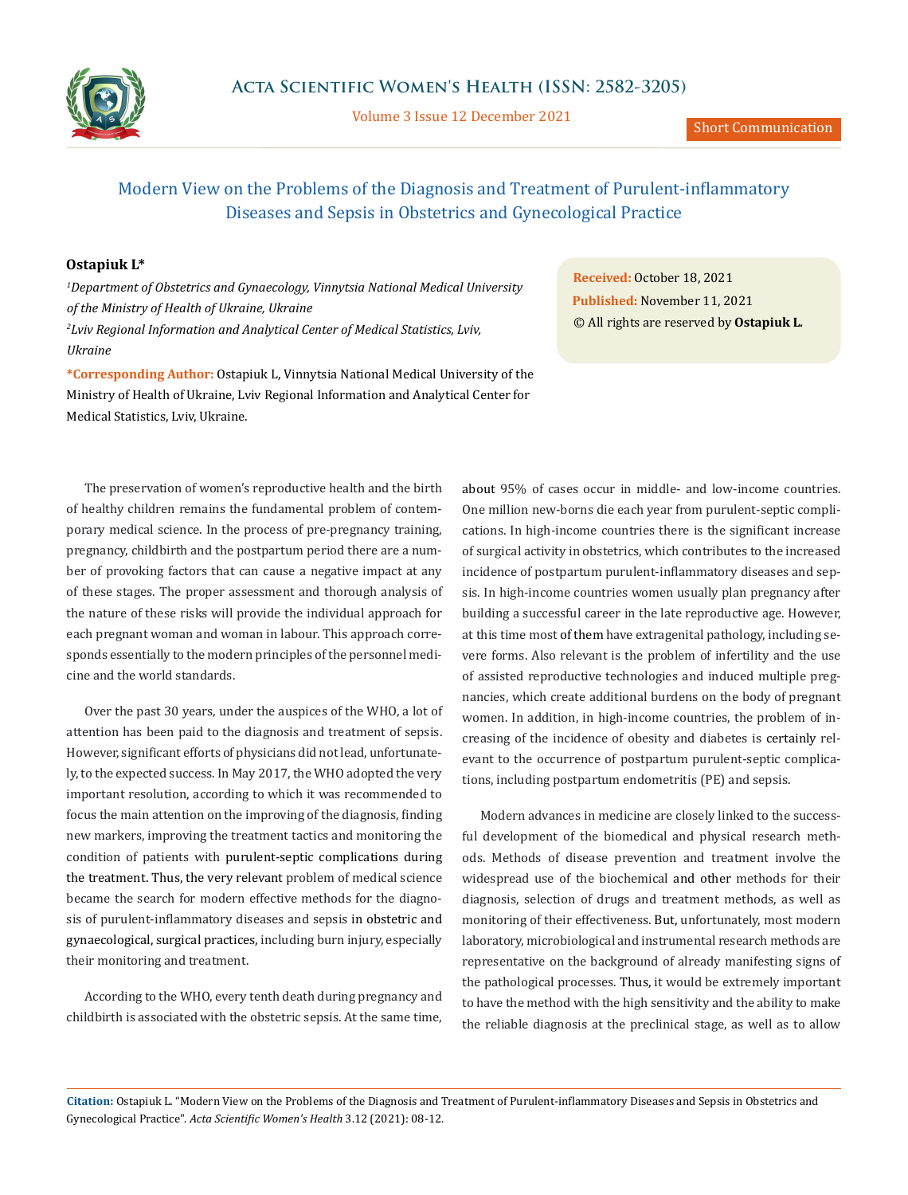

Volume 3 Issue 12 December 2021

# Modern View on the Problems of the Diagnosis and Treatment of Purulent-inflammatory Diseases and Sepsis in Obstetrics and Gynecological Practice

### **Ostapiuk L\***

*1 Department of Obstetrics and Gynaecology, Vinnytsia National Medical University of the Ministry of Health of Ukraine, Ukraine 2 Lviv Regional Information and Analytical Center of Medical Statistics, Lviv, Ukraine*

**\*Corresponding Author:** Ostapiuk L, Vinnytsia National Medical University of the Ministry of Health of Ukraine, Lviv Regional Information and Analytical Center for Medical Statistics, Lviv, Ukraine.

The preservation of women's reproductive health and the birth of healthy children remains the fundamental problem of contemporary medical science. In the process of pre-pregnancy training, pregnancy, childbirth and the postpartum period there are a number of provoking factors that can cause a negative impact at any of these stages. The proper assessment and thorough analysis of the nature of these risks will provide the individual approach for each pregnant woman and woman in labour. This approach corresponds essentially to the modern principles of the personnel medicine and the world standards.

Over the past 30 years, under the auspices of the WHO, a lot of attention has been paid to the diagnosis and treatment of sepsis. However, significant efforts of physicians did not lead, unfortunately, to the expected success. In May 2017, the WHO adopted the very important resolution, according to which it was recommended to focus the main attention on the improving of the diagnosis, finding new markers, improving the treatment tactics and monitoring the condition of patients with purulent-septic complications during the treatment. Thus, the very relevant problem of medical science became the search for modern effective methods for the diagnosis of purulent-inflammatory diseases and sepsis in obstetric and gynaecological, surgical practices, including burn injury, especially their monitoring and treatment.

According to the WHO, every tenth death during pregnancy and childbirth is associated with the obstetric sepsis. At the same time,

**Received:** October 18, 2021 **Published:** November 11, 2021 © All rights are reserved by **Ostapiuk L***.*

about 95% of cases occur in middle- and low-income countries. One million new-borns die each year from purulent-septic complications. In high-income countries there is the significant increase of surgical activity in obstetrics, which contributes to the increased incidence of postpartum purulent-inflammatory diseases and sepsis. In high-income countries women usually plan pregnancy after building a successful career in the late reproductive age. However, at this time most of them have extragenital pathology, including severe forms. Also relevant is the problem of infertility and the use of assisted reproductive technologies and induced multiple pregnancies, which create additional burdens on the body of pregnant women. In addition, in high-income countries, the problem of increasing of the incidence of obesity and diabetes is certainly relevant to the occurrence of postpartum purulent-septic complications, including postpartum endometritis (PE) and sepsis.

Modern advances in medicine are closely linked to the successful development of the biomedical and physical research methods. Methods of disease prevention and treatment involve the widespread use of the biochemical and other methods for their diagnosis, selection of drugs and treatment methods, as well as monitoring of their effectiveness. But, unfortunately, most modern laboratory, microbiological and instrumental research methods are representative on the background of already manifesting signs of the pathological processes. Thus, it would be extremely important to have the method with the high sensitivity and the ability to make the reliable diagnosis at the preclinical stage, as well as to allow

**Citation:** Ostapiuk L*.* "Modern View on the Problems of the Diagnosis and Treatment of Purulent-inflammatory Diseases and Sepsis in Obstetrics and Gynecological Practice". *Acta Scientific Women's Health* 3.12 (2021): 08-12.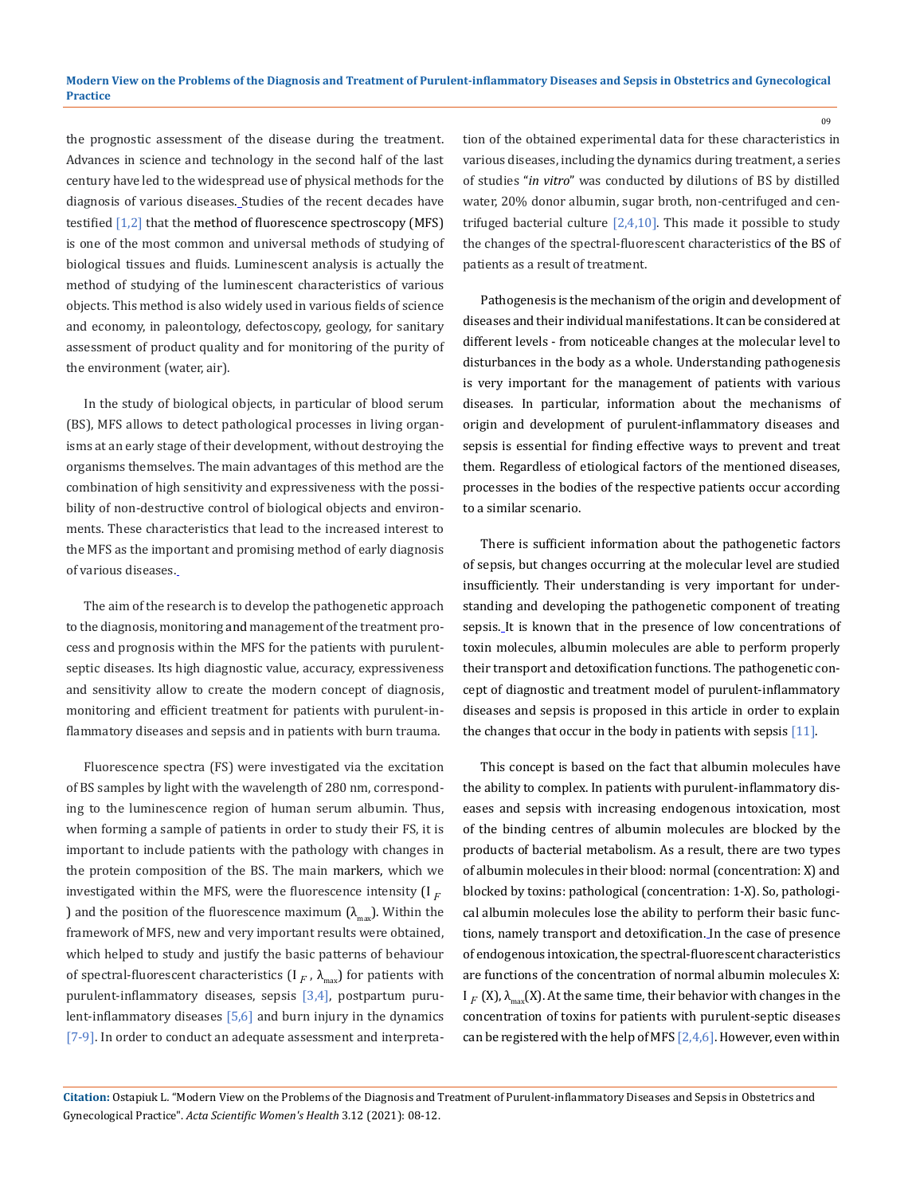the prognostic assessment of the disease during the treatment. Advances in science and technology in the second half of the last century have led to the widespread use of physical methods for the diagnosis of various diseases. Studies of the recent decades have testified  $[1,2]$  that the method of fluorescence spectroscopy (MFS) is one of the most common and universal methods of studying of biological tissues and fluids. Luminescent analysis is actually the method of studying of the luminescent characteristics of various objects. This method is also widely used in various fields of science and economy, in paleontology, defectoscopy, geology, for sanitary assessment of product quality and for monitoring of the purity of the environment (water, air).

In the study of biological objects, in particular of blood serum (BS), MFS allows to detect pathological processes in living organisms at an early stage of their development, without destroying the organisms themselves. The main advantages of this method are the combination of high sensitivity and expressiveness with the possibility of non-destructive control of biological objects and environments. These characteristics that lead to the increased interest to the MFS as the important and promising method of early diagnosis of various diseases.

The aim of the research is to develop the pathogenetic approach to the diagnosis, monitoring and management of the treatment process and prognosis within the MFS for the patients with purulentseptic diseases. Its high diagnostic value, accuracy, expressiveness and sensitivity allow to create the modern concept of diagnosis, monitoring and efficient treatment for patients with purulent-inflammatory diseases and sepsis and in patients with burn trauma.

Fluorescence spectra (FS) were investigated via the excitation of BS samples by light with the wavelength of 280 nm, corresponding to the luminescence region of human serum albumin. Thus, when forming a sample of patients in order to study their FS, it is important to include patients with the pathology with changes in the protein composition of the BS. The main markers, which we investigated within the MFS, were the fluorescence intensity  $[1_F]$ ) and the position of the fluorescence maximum  $(\lambda_{\text{max}})$ . Within the framework of MFS, new and very important results were obtained, which helped to study and justify the basic patterns of behaviour of spectral-fluorescent characteristics  $(I_F, \lambda_{\text{max}})$  for patients with purulent-inflammatory diseases, sepsis [3,4], postpartum purulent-inflammatory diseases [5,6] and burn injury in the dynamics [7-9]. In order to conduct an adequate assessment and interpretation of the obtained experimental data for these characteristics in various diseases, including the dynamics during treatment, a series of studies "*in vitro*" was conducted by dilutions of BS by distilled water, 20% donor albumin, sugar broth, non-centrifuged and centrifuged bacterial culture  $[2,4,10]$ . This made it possible to study the changes of the spectral-fluorescent characteristics of the BS of patients as a result of treatment.

Pathogenesis is the mechanism of the origin and development of diseases and their individual manifestations. It can be considered at different levels - from noticeable changes at the molecular level to disturbances in the body as a whole. Understanding pathogenesis is very important for the management of patients with various diseases. In particular, information about the mechanisms of origin and development of purulent-inflammatory diseases and sepsis is essential for finding effective ways to prevent and treat them. Regardless of etiological factors of the mentioned diseases, processes in the bodies of the respective patients occur according to a similar scenario.

There is sufficient information about the pathogenetic factors of sepsis, but changes occurring at the molecular level are studied insufficiently. Their understanding is very important for understanding and developing the pathogenetic component of treating sepsis. It is known that in the presence of low concentrations of toxin molecules, albumin molecules are able to perform properly their transport and detoxification functions. The pathogenetic concept of diagnostic and treatment model of purulent-inflammatory diseases and sepsis is proposed in this article in order to explain the changes that occur in the body in patients with sepsis  $[11]$ .

This concept is based on the fact that albumin molecules have the ability to complex. In patients with purulent-inflammatory diseases and sepsis with increasing endogenous intoxication, most of the binding centres of albumin molecules are blocked by the products of bacterial metabolism. As a result, there are two types of albumin molecules in their blood: normal (concentration: X) and blocked by toxins: pathological (concentration: 1-X). So, pathological albumin molecules lose the ability to perform their basic functions, namely transport and detoxification. In the case of presence of endogenous intoxication, the spectral-fluorescent characteristics are functions of the concentration of normal albumin molecules X:  $I_F(X)$ ,  $\lambda_{\text{max}}(X)$ . At the same time, their behavior with changes in the concentration of toxins for patients with purulent-septic diseases can be registered with the help of MFS  $[2,4,6]$ . However, even within

**Citation:** Ostapiuk L*.* "Modern View on the Problems of the Diagnosis and Treatment of Purulent-inflammatory Diseases and Sepsis in Obstetrics and Gynecological Practice". *Acta Scientific Women's Health* 3.12 (2021): 08-12.

09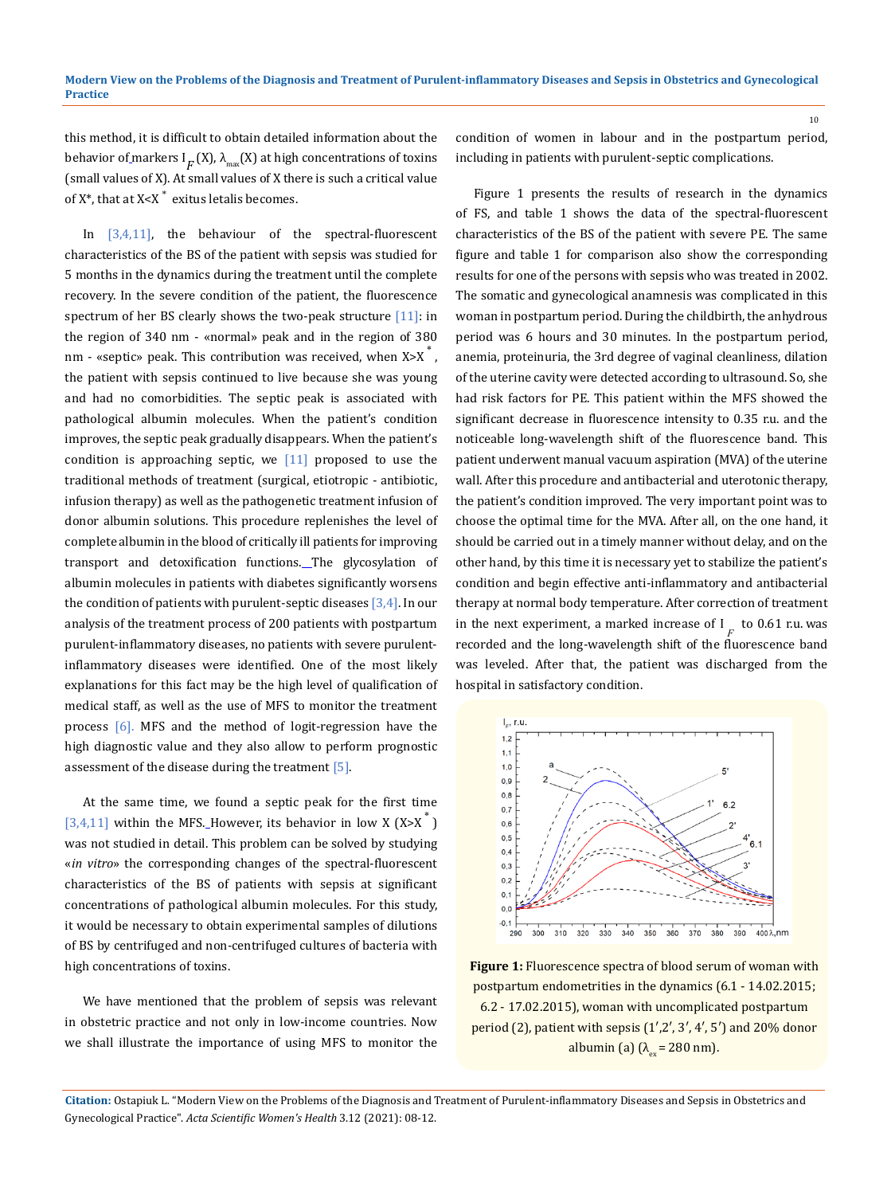this method, it is difficult to obtain detailed information about the behavior of markers  $I_F(X)$ ,  $\lambda_{\text{max}}(X)$  at high concentrations of toxins (small values of X). At small values of X there is such a critical value of  $X^*$ , that at  $X < X^*$  exitus letalis becomes.

In  $[3,4,11]$ , the behaviour of the spectral-fluorescent characteristics of the BS of the patient with sepsis was studied for 5 months in the dynamics during the treatment until the complete recovery. In the severe condition of the patient, the fluorescence spectrum of her BS clearly shows the two-peak structure  $[11]$ : in the region of 340 nm - «normal» peak and in the region of 380 nm - «septic» peak. This contribution was received, when  $X > X^*$ , the patient with sepsis continued to live because she was young and had no comorbidities. The septic peak is associated with pathological albumin molecules. When the patient's condition improves, the septic peak gradually disappears. When the patient's condition is approaching septic, we  $[11]$  proposed to use the traditional methods of treatment (surgical, etiotropic - antibiotic, infusion therapy) as well as the pathogenetic treatment infusion of donor albumin solutions. This procedure replenishes the level of complete albumin in the blood of critically ill patients for improving transport and detoxification functions. The glycosylation of albumin molecules in patients with diabetes significantly worsens the condition of patients with purulent-septic diseases  $[3,4]$ . In our analysis of the treatment process of 200 patients with postpartum purulent-inflammatory diseases, no patients with severe purulentinflammatory diseases were identified. One of the most likely explanations for this fact may be the high level of qualification of medical staff, as well as the use of MFS to monitor the treatment process [6]. MFS and the method of logit-regression have the high diagnostic value and they also allow to perform prognostic assessment of the disease during the treatment  $\overline{5}$ .

At the same time, we found a septic peak for the first time [3,4,11] within the MFS. However, its behavior in low X  $(X > X^T)$ was not studied in detail. This problem can be solved by studying «*in vitro*» the corresponding changes of the spectral-fluorescent characteristics of the BS of patients with sepsis at significant concentrations of pathological albumin molecules. For this study, it would be necessary to obtain experimental samples of dilutions of BS by centrifuged and non-centrifuged cultures of bacteria with high concentrations of toxins.

We have mentioned that the problem of sepsis was relevant in obstetric practice and not only in low-income countries. Now we shall illustrate the importance of using MFS to monitor the

condition of women in labour and in the postpartum period, including in patients with purulent-septic complications.

Figure 1 presents the results of research in the dynamics of FS, and table 1 shows the data of the spectral-fluorescent characteristics of the BS of the patient with severe PE. The same figure and table 1 for comparison also show the corresponding results for one of the persons with sepsis who was treated in 2002. The somatic and gynecological anamnesis was complicated in this woman in postpartum period. During the childbirth, the anhydrous period was 6 hours and 30 minutes. In the postpartum period, anemia, proteinuria, the 3rd degree of vaginal cleanliness, dilation of the uterine cavity were detected according to ultrasound. So, she had risk factors for PE. This patient within the MFS showed the significant decrease in fluorescence intensity to 0.35 r.u. and the noticeable long-wavelength shift of the fluorescence band. This patient underwent manual vacuum aspiration (MVA) of the uterine wall. After this procedure and antibacterial and uterotonic therapy, the patient's condition improved. The very important point was to choose the optimal time for the MVA. After all, on the one hand, it should be carried out in a timely manner without delay, and on the other hand, by this time it is necessary yet to stabilize the patient's condition and begin effective anti-inflammatory and antibacterial therapy at normal body temperature. After correction of treatment in the next experiment, a marked increase of  $\frac{1}{F}$  to 0.61 r.u. was recorded and the long-wavelength shift of the fluorescence band was leveled. After that, the patient was discharged from the hospital in satisfactory condition.



**Figure 1:** Fluorescence spectra of blood serum of woman with postpartum endometrities in the dynamics (6.1 - 14.02.2015; 6.2 - 17.02.2015), woman with uncomplicated postpartum period (2), patient with sepsis (1′,2′, 3′, 4′, 5′) and 20% donor albumin (a)  $(\lambda_{ex} = 280 \text{ nm}).$ 

10

**Citation:** Ostapiuk L*.* "Modern View on the Problems of the Diagnosis and Treatment of Purulent-inflammatory Diseases and Sepsis in Obstetrics and Gynecological Practice". *Acta Scientific Women's Health* 3.12 (2021): 08-12.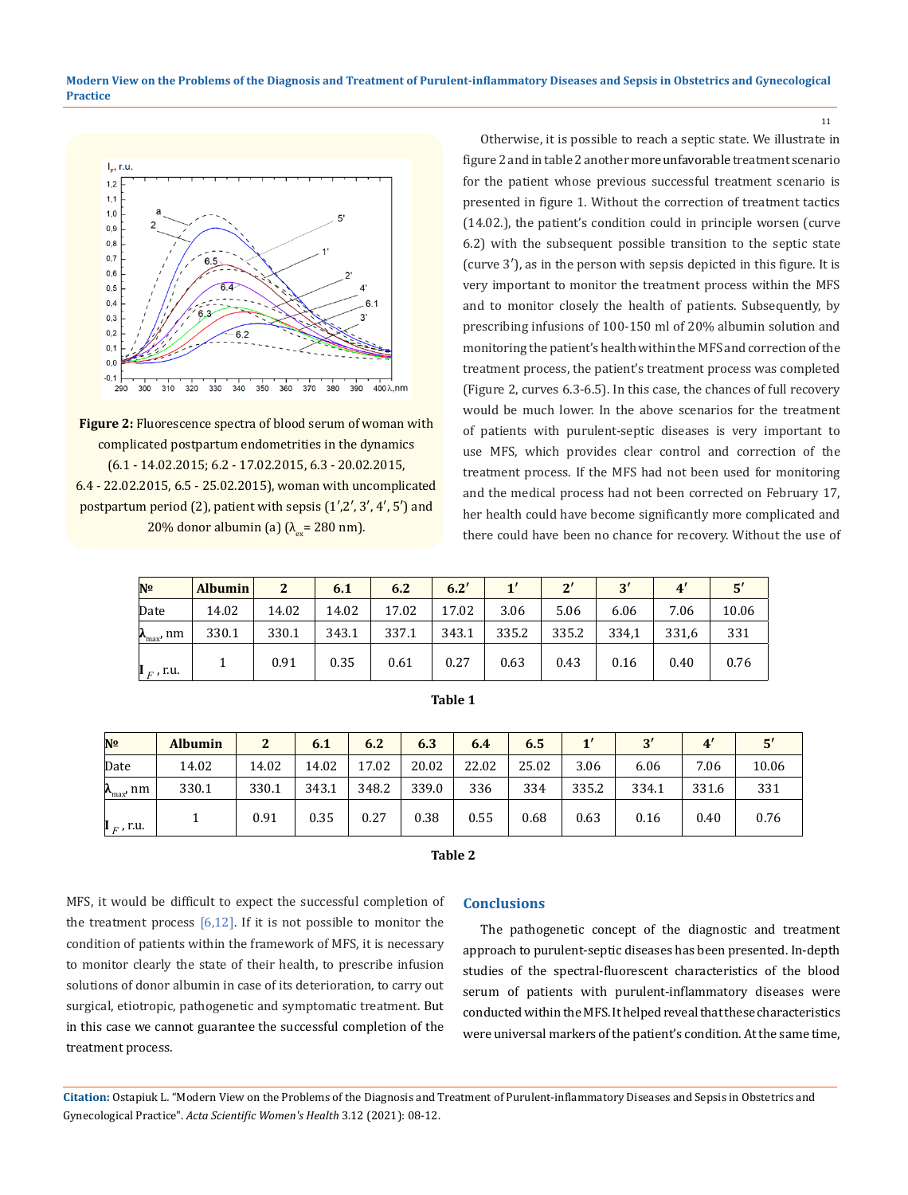**Modern View on the Problems of the Diagnosis and Treatment of Purulent-inflammatory Diseases and Sepsis in Obstetrics and Gynecological Practice**



**Figure 2:** Fluorescence spectra of blood serum of woman with complicated postpartum endometrities in the dynamics (6.1 - 14.02.2015; 6.2 - 17.02.2015, 6.3 - 20.02.2015, 6.4 - 22.02.2015, 6.5 - 25.02.2015), woman with uncomplicated postpartum period (2), patient with sepsis (1′,2′, 3′, 4′, 5′) and 20% donor albumin (a)  $(\lambda_{\infty} = 280 \text{ nm})$ .

Otherwise, it is possible to reach a septic state. We illustrate in figure 2 and in table 2 another more unfavorable treatment scenario for the patient whose previous successful treatment scenario is presented in figure 1. Without the correction of treatment tactics (14.02.), the patient's condition could in principle worsen (curve 6.2) with the subsequent possible transition to the septic state (curve 3′), as in the person with sepsis depicted in this figure. It is very important to monitor the treatment process within the MFS and to monitor closely the health of patients. Subsequently, by prescribing infusions of 100-150 ml of 20% albumin solution and monitoring the patient's health within the MFS and correction of the treatment process, the patient's treatment process was completed (Figure 2, curves 6.3-6.5). In this case, the chances of full recovery would be much lower. In the above scenarios for the treatment of patients with purulent-septic diseases is very important to use MFS, which provides clear control and correction of the treatment process. If the MFS had not been used for monitoring and the medical process had not been corrected on February 17, her health could have become significantly more complicated and there could have been no chance for recovery. Without the use of

| N <sup>o</sup>               | Albumin | $\mathbf{2}$ | 6.1   | 6.2   | 6.2'  | $1^{\prime}$ | $2^{\prime}$ | $\mathbf{R}'$ |       | 5'    |
|------------------------------|---------|--------------|-------|-------|-------|--------------|--------------|---------------|-------|-------|
| Date                         | 14.02   | 14.02        | 14.02 | 17.02 | 17.02 | 3.06         | 5.06         | 6.06          | 7.06  | 10.06 |
| $\lambda_{\text{max}}$<br>nm | 330.1   | 330.1        | 343.1 | 337.1 | 343.1 | 335.2        | 335.2        | 334,1         | 331,6 | 331   |
| $\mathbf{I}_F$ , r.u.        |         | 0.91         | 0.35  | 0.61  | 0.27  | 0.63         | 0.43         | 0.16          | 0.40  | 0.76  |

| Table 1 |  |
|---------|--|
|         |  |

| Nº                                       | <b>Albumin</b> | $\overline{2}$ | 6.1   | 6.2   | 6.3   | 6.4   | 6.5   | $\mathbf{1}^{\prime}$ | 2'    |       |       |
|------------------------------------------|----------------|----------------|-------|-------|-------|-------|-------|-----------------------|-------|-------|-------|
| Date                                     | 14.02          | 14.02          | 14.02 | 17.02 | 20.02 | 22.02 | 25.02 | 3.06                  | 6.06  | 7.06  | 10.06 |
| $\boldsymbol{\lambda}_{\text{max}}$ , nm | 330.1          | 330.1          | 343.1 | 348.2 | 339.0 | 336   | 334   | 335.2                 | 334.1 | 331.6 | 331   |
| $\mathbf{I}_F$ , r.u.                    |                | 0.91           | 0.35  | 0.27  | 0.38  | 0.55  | 0.68  | 0.63                  | 0.16  | 0.40  | 0.76  |

| ۰,<br>×<br>٠ |  |
|--------------|--|
|--------------|--|

MFS, it would be difficult to expect the successful completion of the treatment process  $[6,12]$ . If it is not possible to monitor the condition of patients within the framework of MFS, it is necessary to monitor clearly the state of their health, to prescribe infusion solutions of donor albumin in case of its deterioration, to carry out surgical, etiotropic, pathogenetic and symptomatic treatment. But in this case we cannot guarantee the successful completion of the treatment process.

#### **Conclusions**

The pathogenetic concept of the diagnostic and treatment approach to purulent-septic diseases has been presented. In-depth studies of the spectral-fluorescent characteristics of the blood serum of patients with purulent-inflammatory diseases were conducted within the MFS. It helped reveal that these characteristics were universal markers of the patient's condition. At the same time,

**Citation:** Ostapiuk L*.* "Modern View on the Problems of the Diagnosis and Treatment of Purulent-inflammatory Diseases and Sepsis in Obstetrics and Gynecological Practice". *Acta Scientific Women's Health* 3.12 (2021): 08-12.

11